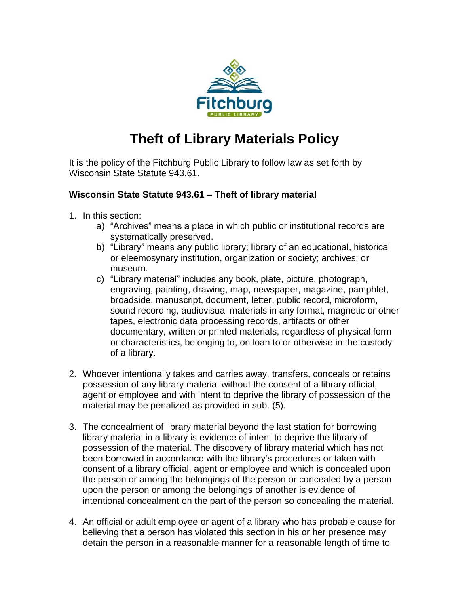

## **Theft of Library Materials Policy**

It is the policy of the Fitchburg Public Library to follow law as set forth by Wisconsin State Statute 943.61.

## **Wisconsin State Statute 943.61 – Theft of library material**

- 1. In this section:
	- a) "Archives" means a place in which public or institutional records are systematically preserved.
	- b) "Library" means any public library; library of an educational, historical or eleemosynary institution, organization or society; archives; or museum.
	- c) "Library material" includes any book, plate, picture, photograph, engraving, painting, drawing, map, newspaper, magazine, pamphlet, broadside, manuscript, document, letter, public record, microform, sound recording, audiovisual materials in any format, magnetic or other tapes, electronic data processing records, artifacts or other documentary, written or printed materials, regardless of physical form or characteristics, belonging to, on loan to or otherwise in the custody of a library.
- 2. Whoever intentionally takes and carries away, transfers, conceals or retains possession of any library material without the consent of a library official, agent or employee and with intent to deprive the library of possession of the material may be penalized as provided in sub. (5).
- 3. The concealment of library material beyond the last station for borrowing library material in a library is evidence of intent to deprive the library of possession of the material. The discovery of library material which has not been borrowed in accordance with the library's procedures or taken with consent of a library official, agent or employee and which is concealed upon the person or among the belongings of the person or concealed by a person upon the person or among the belongings of another is evidence of intentional concealment on the part of the person so concealing the material.
- 4. An official or adult employee or agent of a library who has probable cause for believing that a person has violated this section in his or her presence may detain the person in a reasonable manner for a reasonable length of time to